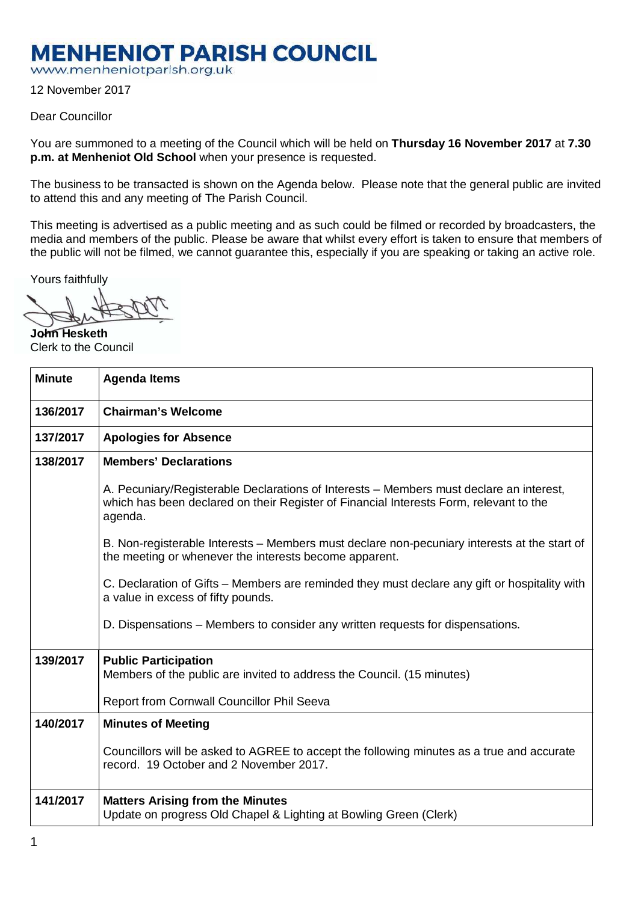## **MENHENIOT PARISH COUNCIL**

www.menheniotparish.org.uk

12 November 2017

## Dear Councillor

You are summoned to a meeting of the Council which will be held on **Thursday 16 November 2017** at **7.30 p.m. at Menheniot Old School** when your presence is requested.

The business to be transacted is shown on the Agenda below. Please note that the general public are invited to attend this and any meeting of The Parish Council.

This meeting is advertised as a public meeting and as such could be filmed or recorded by broadcasters, the media and members of the public. Please be aware that whilst every effort is taken to ensure that members of the public will not be filmed, we cannot guarantee this, especially if you are speaking or taking an active role.

Yours faithfully

**John Hesketh**  Clerk to the Council

| <b>Minute</b> | <b>Agenda Items</b>                                                                                                                                                                          |  |  |  |  |
|---------------|----------------------------------------------------------------------------------------------------------------------------------------------------------------------------------------------|--|--|--|--|
| 136/2017      | <b>Chairman's Welcome</b>                                                                                                                                                                    |  |  |  |  |
| 137/2017      | <b>Apologies for Absence</b>                                                                                                                                                                 |  |  |  |  |
| 138/2017      | <b>Members' Declarations</b>                                                                                                                                                                 |  |  |  |  |
|               | A. Pecuniary/Registerable Declarations of Interests – Members must declare an interest,<br>which has been declared on their Register of Financial Interests Form, relevant to the<br>agenda. |  |  |  |  |
|               | B. Non-registerable Interests – Members must declare non-pecuniary interests at the start of<br>the meeting or whenever the interests become apparent.                                       |  |  |  |  |
|               | C. Declaration of Gifts – Members are reminded they must declare any gift or hospitality with<br>a value in excess of fifty pounds.                                                          |  |  |  |  |
|               | D. Dispensations – Members to consider any written requests for dispensations.                                                                                                               |  |  |  |  |
| 139/2017      | <b>Public Participation</b><br>Members of the public are invited to address the Council. (15 minutes)<br>Report from Cornwall Councillor Phil Seeva                                          |  |  |  |  |
|               |                                                                                                                                                                                              |  |  |  |  |
| 140/2017      | <b>Minutes of Meeting</b>                                                                                                                                                                    |  |  |  |  |
|               | Councillors will be asked to AGREE to accept the following minutes as a true and accurate<br>record. 19 October and 2 November 2017.                                                         |  |  |  |  |
| 141/2017      | <b>Matters Arising from the Minutes</b><br>Update on progress Old Chapel & Lighting at Bowling Green (Clerk)                                                                                 |  |  |  |  |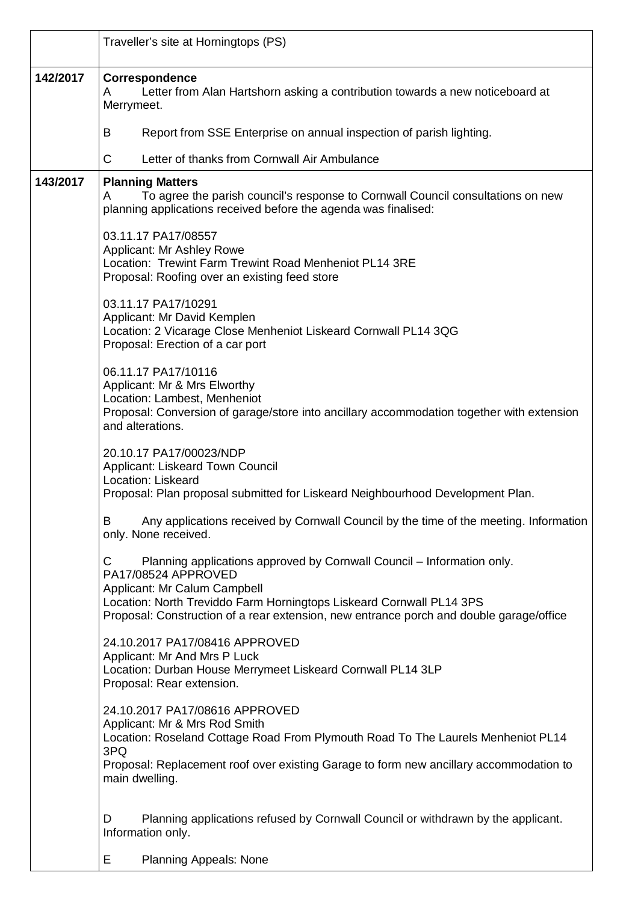|          | Traveller's site at Horningtops (PS)                                                                                                                                                                                                                  |  |  |  |  |  |
|----------|-------------------------------------------------------------------------------------------------------------------------------------------------------------------------------------------------------------------------------------------------------|--|--|--|--|--|
| 142/2017 | Correspondence<br>Letter from Alan Hartshorn asking a contribution towards a new noticeboard at<br>A<br>Merrymeet.                                                                                                                                    |  |  |  |  |  |
|          | B<br>Report from SSE Enterprise on annual inspection of parish lighting.                                                                                                                                                                              |  |  |  |  |  |
|          | C<br>Letter of thanks from Cornwall Air Ambulance                                                                                                                                                                                                     |  |  |  |  |  |
| 143/2017 | <b>Planning Matters</b><br>To agree the parish council's response to Cornwall Council consultations on new<br>A<br>planning applications received before the agenda was finalised:                                                                    |  |  |  |  |  |
|          | 03.11.17 PA17/08557<br>Applicant: Mr Ashley Rowe<br>Location: Trewint Farm Trewint Road Menheniot PL14 3RE<br>Proposal: Roofing over an existing feed store                                                                                           |  |  |  |  |  |
|          | 03.11.17 PA17/10291<br>Applicant: Mr David Kemplen<br>Location: 2 Vicarage Close Menheniot Liskeard Cornwall PL14 3QG<br>Proposal: Erection of a car port                                                                                             |  |  |  |  |  |
|          | 06.11.17 PA17/10116<br>Applicant: Mr & Mrs Elworthy<br>Location: Lambest, Menheniot<br>Proposal: Conversion of garage/store into ancillary accommodation together with extension<br>and alterations.                                                  |  |  |  |  |  |
|          | 20.10.17 PA17/00023/NDP<br>Applicant: Liskeard Town Council<br>Location: Liskeard<br>Proposal: Plan proposal submitted for Liskeard Neighbourhood Development Plan.                                                                                   |  |  |  |  |  |
|          | Any applications received by Cornwall Council by the time of the meeting. Information<br>B<br>only. None received.                                                                                                                                    |  |  |  |  |  |
|          | Planning applications approved by Cornwall Council – Information only.<br>C<br>PA17/08524 APPROVED<br>Applicant: Mr Calum Campbell<br>Location: North Treviddo Farm Horningtops Liskeard Cornwall PL14 3PS                                            |  |  |  |  |  |
|          | Proposal: Construction of a rear extension, new entrance porch and double garage/office<br>24.10.2017 PA17/08416 APPROVED<br>Applicant: Mr And Mrs P Luck<br>Location: Durban House Merrymeet Liskeard Cornwall PL14 3LP<br>Proposal: Rear extension. |  |  |  |  |  |
|          | 24.10.2017 PA17/08616 APPROVED<br>Applicant: Mr & Mrs Rod Smith<br>Location: Roseland Cottage Road From Plymouth Road To The Laurels Menheniot PL14<br>3PQ<br>Proposal: Replacement roof over existing Garage to form new ancillary accommodation to  |  |  |  |  |  |
|          | main dwelling.<br>D<br>Planning applications refused by Cornwall Council or withdrawn by the applicant.<br>Information only.<br>Е<br><b>Planning Appeals: None</b>                                                                                    |  |  |  |  |  |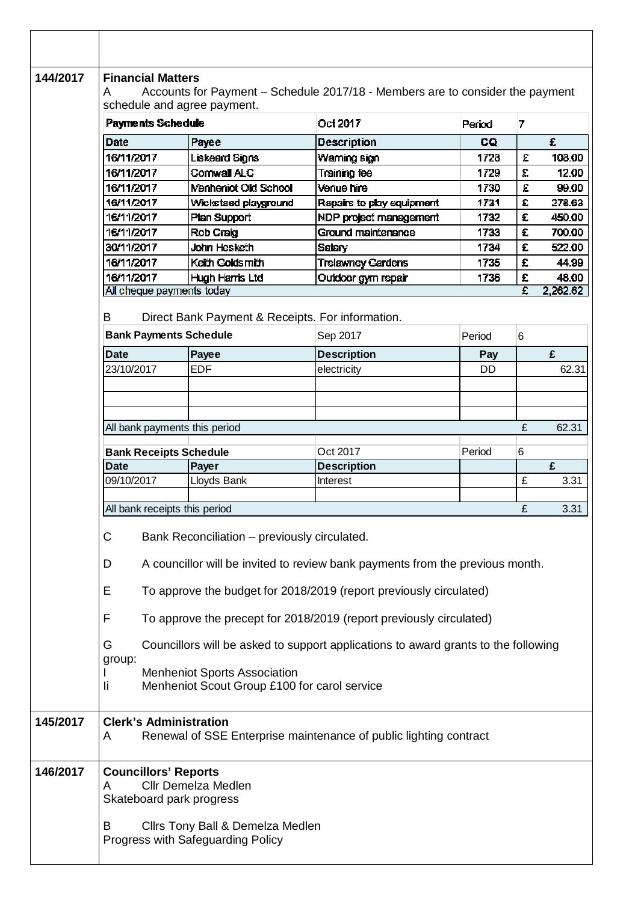| 144/2017 | <b>Financial Matters</b><br>Accounts for Payment - Schedule 2017/18 - Members are to consider the payment<br>A<br>schedule and agree payment.                            |                             |                           |           |                    |        |  |  |  |
|----------|--------------------------------------------------------------------------------------------------------------------------------------------------------------------------|-----------------------------|---------------------------|-----------|--------------------|--------|--|--|--|
|          | Payments Schedule                                                                                                                                                        |                             | Oct 2017                  | Period    | 7                  |        |  |  |  |
|          | Date                                                                                                                                                                     | Payee                       | <b>Description</b>        | CQ        |                    | £      |  |  |  |
|          | 16/11/2017                                                                                                                                                               | Liskeard Signs              | Waming sign               | 1728      | £                  | 108.00 |  |  |  |
|          | 16/11/2017                                                                                                                                                               | Cornwall ALC                | Training fee              | 1729      | £                  | 12.00  |  |  |  |
|          | 16/11/2017                                                                                                                                                               | <b>Menheniot Old School</b> | Venue hire                | 1730      | £                  | 99.00  |  |  |  |
|          | 16/11/2017                                                                                                                                                               | Wicksteed playground        | Repairs to play equipment | 1731      | $\hat{\mathbf{r}}$ | 278.63 |  |  |  |
|          | 16/11/2017                                                                                                                                                               | Plan Support                | NDP project management    | 1732      | £                  | 450.00 |  |  |  |
|          | 16/11/2017                                                                                                                                                               | Rob Craig                   | Ground maintenance        | 1733      | £                  | 700.00 |  |  |  |
|          | 30/11/2017                                                                                                                                                               | John Hesketh                | Salary                    | 1734      | £                  | 522.00 |  |  |  |
|          | 16/11/2017                                                                                                                                                               | Keith Goldsmith             | <b>Trelawney Gardens</b>  | 1735      | £                  | 44.99  |  |  |  |
|          | 16/11/2017                                                                                                                                                               | Hugh Harris Ltd             | Outdoor gym repair        | 1736      | £                  | 48.00  |  |  |  |
|          | 2,262.62<br>All cheque payments today<br>£                                                                                                                               |                             |                           |           |                    |        |  |  |  |
|          | B<br>Direct Bank Payment & Receipts. For information.                                                                                                                    |                             |                           |           |                    |        |  |  |  |
|          | <b>Bank Payments Schedule</b>                                                                                                                                            |                             | Sep 2017                  | Period    | 6                  |        |  |  |  |
|          | <b>Date</b>                                                                                                                                                              | Payee                       | <b>Description</b>        | Pay       |                    | £      |  |  |  |
|          | 23/10/2017                                                                                                                                                               | <b>EDF</b>                  | electricity               | <b>DD</b> |                    | 62.31  |  |  |  |
|          |                                                                                                                                                                          |                             |                           |           |                    |        |  |  |  |
|          |                                                                                                                                                                          |                             |                           |           |                    |        |  |  |  |
|          |                                                                                                                                                                          |                             |                           |           |                    |        |  |  |  |
|          | All bank payments this period                                                                                                                                            |                             |                           |           | £                  | 62.31  |  |  |  |
|          | <b>Bank Receipts Schedule</b>                                                                                                                                            |                             | Oct 2017                  | Period    | 6                  |        |  |  |  |
|          | <b>Date</b>                                                                                                                                                              | Payer                       | <b>Description</b>        |           |                    | £      |  |  |  |
|          | 09/10/2017                                                                                                                                                               | Lloyds Bank                 | Interest                  |           | £                  | 3.31   |  |  |  |
|          |                                                                                                                                                                          |                             |                           |           |                    |        |  |  |  |
|          | £<br>3.31<br>All bank receipts this period                                                                                                                               |                             |                           |           |                    |        |  |  |  |
|          | $\mathsf C$<br>Bank Reconciliation - previously circulated.                                                                                                              |                             |                           |           |                    |        |  |  |  |
|          | A councillor will be invited to review bank payments from the previous month.<br>D                                                                                       |                             |                           |           |                    |        |  |  |  |
|          | E<br>To approve the budget for 2018/2019 (report previously circulated)                                                                                                  |                             |                           |           |                    |        |  |  |  |
|          | F<br>To approve the precept for 2018/2019 (report previously circulated)                                                                                                 |                             |                           |           |                    |        |  |  |  |
|          | G<br>Councillors will be asked to support applications to award grants to the following<br>group:                                                                        |                             |                           |           |                    |        |  |  |  |
|          | <b>Menheniot Sports Association</b><br>Menheniot Scout Group £100 for carol service<br>li                                                                                |                             |                           |           |                    |        |  |  |  |
| 145/2017 | <b>Clerk's Administration</b><br>Renewal of SSE Enterprise maintenance of public lighting contract<br>A                                                                  |                             |                           |           |                    |        |  |  |  |
| 146/2017 | <b>Councillors' Reports</b><br><b>Cllr Demelza Medlen</b><br>A<br>Skateboard park progress<br>Cllrs Tony Ball & Demelza Medlen<br>B<br>Progress with Safeguarding Policy |                             |                           |           |                    |        |  |  |  |
|          |                                                                                                                                                                          |                             |                           |           |                    |        |  |  |  |